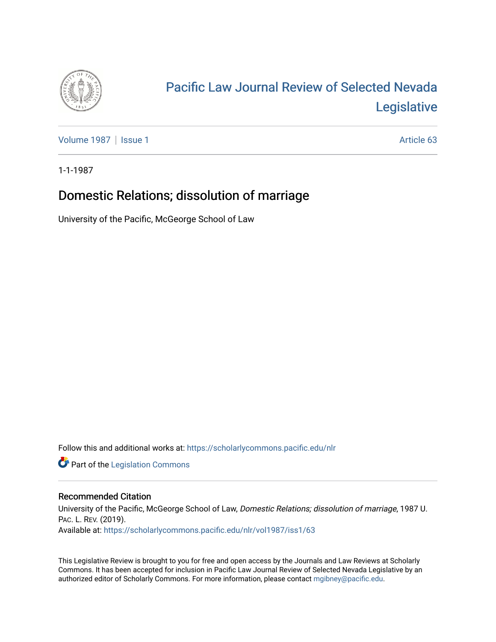

# [Pacific Law Journal Review of Selected Nevada](https://scholarlycommons.pacific.edu/nlr)  [Legislative](https://scholarlycommons.pacific.edu/nlr)

[Volume 1987](https://scholarlycommons.pacific.edu/nlr/vol1987) | [Issue 1](https://scholarlycommons.pacific.edu/nlr/vol1987/iss1) Article 63

1-1-1987

# Domestic Relations; dissolution of marriage

University of the Pacific, McGeorge School of Law

Follow this and additional works at: [https://scholarlycommons.pacific.edu/nlr](https://scholarlycommons.pacific.edu/nlr?utm_source=scholarlycommons.pacific.edu%2Fnlr%2Fvol1987%2Fiss1%2F63&utm_medium=PDF&utm_campaign=PDFCoverPages) 

**Part of the [Legislation Commons](http://network.bepress.com/hgg/discipline/859?utm_source=scholarlycommons.pacific.edu%2Fnlr%2Fvol1987%2Fiss1%2F63&utm_medium=PDF&utm_campaign=PDFCoverPages)** 

## Recommended Citation

University of the Pacific, McGeorge School of Law, Domestic Relations; dissolution of marriage, 1987 U. PAC. L. REV. (2019). Available at: [https://scholarlycommons.pacific.edu/nlr/vol1987/iss1/63](https://scholarlycommons.pacific.edu/nlr/vol1987/iss1/63?utm_source=scholarlycommons.pacific.edu%2Fnlr%2Fvol1987%2Fiss1%2F63&utm_medium=PDF&utm_campaign=PDFCoverPages)

This Legislative Review is brought to you for free and open access by the Journals and Law Reviews at Scholarly Commons. It has been accepted for inclusion in Pacific Law Journal Review of Selected Nevada Legislative by an authorized editor of Scholarly Commons. For more information, please contact [mgibney@pacific.edu](mailto:mgibney@pacific.edu).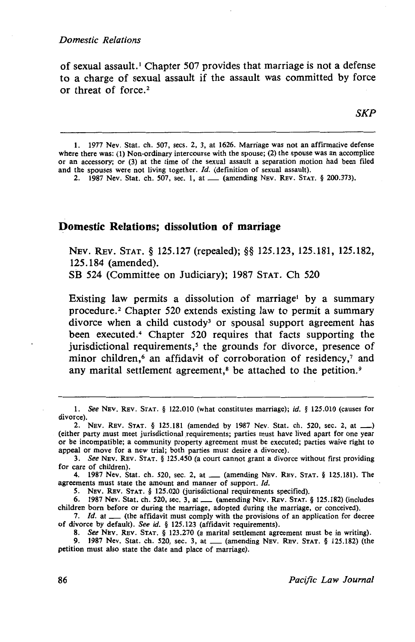of sexual assault.<sup>1</sup> Chapter 507 provides that marriage is not a defense to a charge of sexual assault if the assault was committed by force or threat of force.<sup>2</sup>

*SKP* 

l. 1977 Nev. Stat. ch. 507, sees. 2, 3, at 1626. Marriage was not an affirmative defense where there was: (1) Non-ordinary intercourse with the spouse; (2) the spouse was an accomplice or an accessory; or (3) at the time of the sexual assault a separation motion had been filed and the spouses were not living together.  $Id$ . (definition of sexual assault).

2. 1987 Nev. Stat. ch. 507, sec. 1, at ..... (amending Nev. Rev. Stat. § 200.373).

### **Domestic Relations; dissolution of marriage**

NEV. REv. STAT. § 125.127 (repealed); §§ 125.123, 125.181, 125.182, 125.184 (amended).

SB 524 (Committee on Judiciary); 1987 STAT. Ch 520

Existing law permits a dissolution of marriage by a summary procedure. 2 Chapter 520 extends existing law to permit a summary divorce when a child custody<sup>3</sup> or spousal support agreement has been executed.<sup>4</sup> Chapter 520 requires that facts supporting the jurisdictional requirements,<sup>5</sup> the grounds for divorce, presence of minor children,<sup>6</sup> an affidavit of corroboration of residency,<sup>7</sup> and any marital settlement agreement,<sup>8</sup> be attached to the petition.<sup>9</sup>

l. *See* NEv. REv. STAT. § 122.010 (what constitutes marriage); *id.* § 125.010 (causes for divorce).

*5.* NEV. REv. STAT. § 125.020 (jurisdictional requirements specified).

6. 1987 Nev. Stat. ch. 520, sec. 3, at \_\_ (amending NEV. REV. STAT. § 125.182) (includes children born before or during the marriage, adopted during the marriage, or conceived).

7. *Id.* at \_\_ (the affidavit must comply with the provisions of an application for decree of divorce by default). *See id.* § 125.123 (affidavit requirements).

<sup>2.</sup> Nev. Rev. STAT. § 125.181 (amended by 1987 Nev. Stat. ch. 520, sec. 2, at \_\_) (either party must meet jurisdictional requirements; parties must have lived apart for one year or be incompatible; a community property agreement must be executed; parties waive right to appeal or move for a new trial; both parties must desire a divorce).

<sup>3.</sup> *See* NEv. REv. STAT. § 125.450 (a court cannot grant a divorce without first providing for care of children).

<sup>4. 1987</sup> Nev. Stat. ch. 520, sec. 2, at ....... (amending Nev. Rev. Stat. § 125.181). The agreements must state the amount and manner of support. Id.

<sup>8.</sup> *See* NEV. REv. STAT. § 123.270 (a marital settlement agreement must be in writing).

<sup>9. 1987</sup> Nev. Stat. ch. 520, sec. 3, at \_\_ (amending NEV. REV. STAT. § 125.182) (the petition must also state the date and place of marriage).